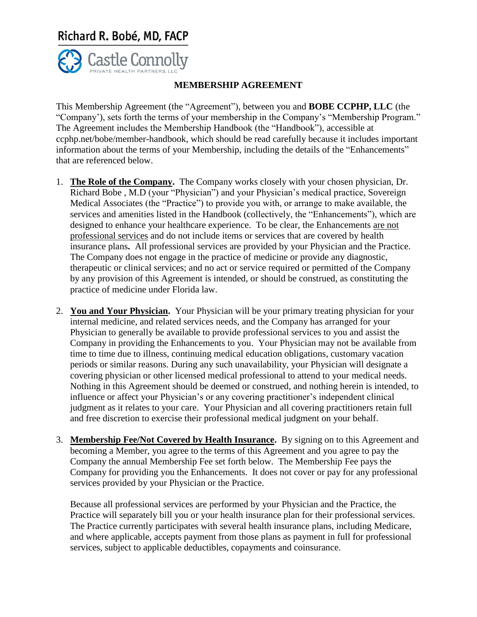## Richard R. Bobé, MD, FACP



## **MEMBERSHIP AGREEMENT**

This Membership Agreement (the "Agreement"), between you and **BOBE CCPHP, LLC** (the "Company'), sets forth the terms of your membership in the Company's "Membership Program." The Agreement includes the Membership Handbook (the "Handbook"), accessible at ccphp.net/bobe/member-handbook, which should be read carefully because it includes important information about the terms of your Membership, including the details of the "Enhancements" that are referenced below.

- 1. **The Role of the Company.** The Company works closely with your chosen physician, Dr. Richard Bobe , M.D (your "Physician") and your Physician's medical practice, Sovereign Medical Associates (the "Practice") to provide you with, or arrange to make available, the services and amenities listed in the Handbook (collectively, the "Enhancements"), which are designed to enhance your healthcare experience. To be clear, the Enhancements are not professional services and do not include items or services that are covered by health insurance plans**.** All professional services are provided by your Physician and the Practice. The Company does not engage in the practice of medicine or provide any diagnostic, therapeutic or clinical services; and no act or service required or permitted of the Company by any provision of this Agreement is intended, or should be construed, as constituting the practice of medicine under Florida law.
- 2. **You and Your Physician.** Your Physician will be your primary treating physician for your internal medicine, and related services needs, and the Company has arranged for your Physician to generally be available to provide professional services to you and assist the Company in providing the Enhancements to you. Your Physician may not be available from time to time due to illness, continuing medical education obligations, customary vacation periods or similar reasons. During any such unavailability, your Physician will designate a covering physician or other licensed medical professional to attend to your medical needs. Nothing in this Agreement should be deemed or construed, and nothing herein is intended, to influence or affect your Physician's or any covering practitioner's independent clinical judgment as it relates to your care. Your Physician and all covering practitioners retain full and free discretion to exercise their professional medical judgment on your behalf.
- 3. **Membership Fee/Not Covered by Health Insurance.** By signing on to this Agreement and becoming a Member, you agree to the terms of this Agreement and you agree to pay the Company the annual Membership Fee set forth below. The Membership Fee pays the Company for providing you the Enhancements. It does not cover or pay for any professional services provided by your Physician or the Practice.

Because all professional services are performed by your Physician and the Practice, the Practice will separately bill you or your health insurance plan for their professional services. The Practice currently participates with several health insurance plans, including Medicare, and where applicable, accepts payment from those plans as payment in full for professional services, subject to applicable deductibles, copayments and coinsurance.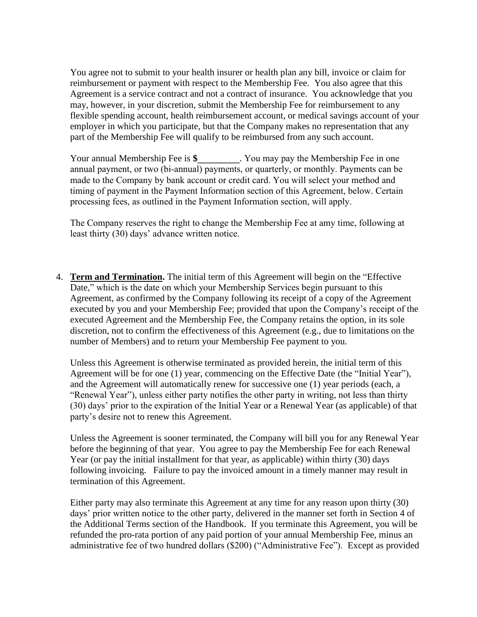You agree not to submit to your health insurer or health plan any bill, invoice or claim for reimbursement or payment with respect to the Membership Fee. You also agree that this Agreement is a service contract and not a contract of insurance. You acknowledge that you may, however, in your discretion, submit the Membership Fee for reimbursement to any flexible spending account, health reimbursement account, or medical savings account of your employer in which you participate, but that the Company makes no representation that any part of the Membership Fee will qualify to be reimbursed from any such account.

Your annual Membership Fee is **\$\_\_\_\_\_\_\_\_\_**. You may pay the Membership Fee in one annual payment, or two (bi-annual) payments, or quarterly, or monthly. Payments can be made to the Company by bank account or credit card. You will select your method and timing of payment in the Payment Information section of this Agreement, below. Certain processing fees, as outlined in the Payment Information section, will apply.

The Company reserves the right to change the Membership Fee at amy time, following at least thirty (30) days' advance written notice.

4. **Term and Termination.** The initial term of this Agreement will begin on the "Effective Date," which is the date on which your Membership Services begin pursuant to this Agreement, as confirmed by the Company following its receipt of a copy of the Agreement executed by you and your Membership Fee; provided that upon the Company's receipt of the executed Agreement and the Membership Fee, the Company retains the option, in its sole discretion, not to confirm the effectiveness of this Agreement (e.g., due to limitations on the number of Members) and to return your Membership Fee payment to you.

Unless this Agreement is otherwise terminated as provided herein, the initial term of this Agreement will be for one (1) year, commencing on the Effective Date (the "Initial Year"), and the Agreement will automatically renew for successive one (1) year periods (each, a "Renewal Year"), unless either party notifies the other party in writing, not less than thirty (30) days' prior to the expiration of the Initial Year or a Renewal Year (as applicable) of that party's desire not to renew this Agreement.

Unless the Agreement is sooner terminated, the Company will bill you for any Renewal Year before the beginning of that year. You agree to pay the Membership Fee for each Renewal Year (or pay the initial installment for that year, as applicable) within thirty (30) days following invoicing. Failure to pay the invoiced amount in a timely manner may result in termination of this Agreement.

Either party may also terminate this Agreement at any time for any reason upon thirty (30) days' prior written notice to the other party, delivered in the manner set forth in Section 4 of the Additional Terms section of the Handbook. If you terminate this Agreement, you will be refunded the pro-rata portion of any paid portion of your annual Membership Fee, minus an administrative fee of two hundred dollars (\$200) ("Administrative Fee"). Except as provided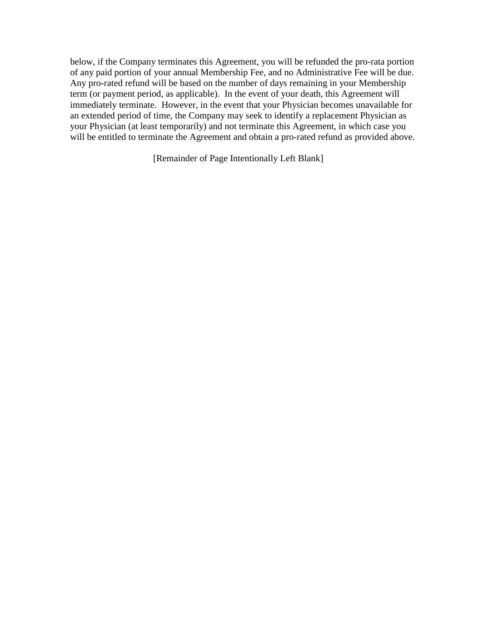below, if the Company terminates this Agreement, you will be refunded the pro-rata portion of any paid portion of your annual Membership Fee, and no Administrative Fee will be due. Any pro-rated refund will be based on the number of days remaining in your Membership term (or payment period, as applicable). In the event of your death, this Agreement will immediately terminate. However, in the event that your Physician becomes unavailable for an extended period of time, the Company may seek to identify a replacement Physician as your Physician (at least temporarily) and not terminate this Agreement, in which case you will be entitled to terminate the Agreement and obtain a pro-rated refund as provided above.

[Remainder of Page Intentionally Left Blank]